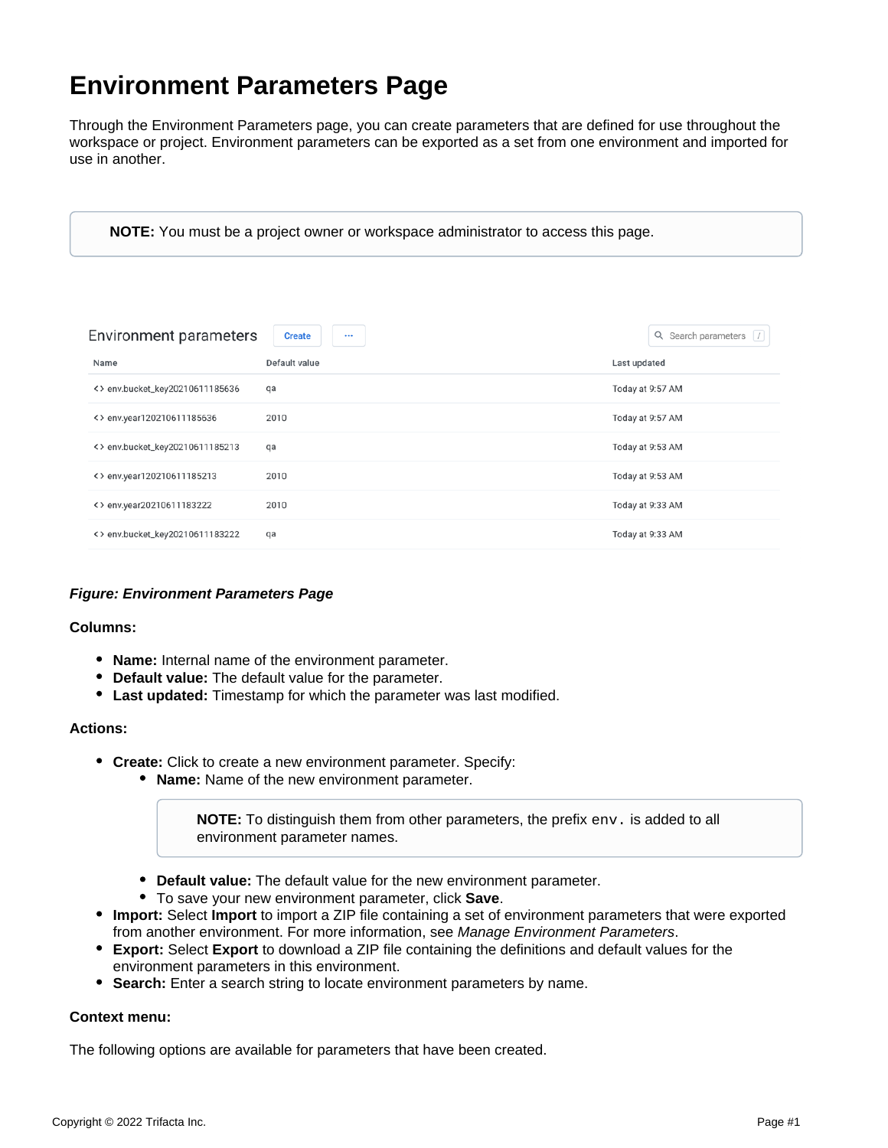# **Environment Parameters Page**

Through the Environment Parameters page, you can create parameters that are defined for use throughout the workspace or project. Environment parameters can be exported as a set from one environment and imported for use in another.

**NOTE:** You must be a project owner or workspace administrator to access this page.

| <b>Environment parameters</b>   | <b>Create</b><br>$\cdots$ | Q Search parameters / |
|---------------------------------|---------------------------|-----------------------|
| Name                            | Default value             | Last updated          |
| <> env.bucket_key20210611185636 | qa                        | Today at 9:57 AM      |
| <> env.year120210611185636      | 2010                      | Today at 9:57 AM      |
| <> env.bucket_key20210611185213 | qa                        | Today at 9:53 AM      |
| <> env.year120210611185213      | 2010                      | Today at 9:53 AM      |
| <> env.year20210611183222       | 2010                      | Today at 9:33 AM      |
| <> env.bucket_key20210611183222 | qa                        | Today at 9:33 AM      |

## **Figure: Environment Parameters Page**

### **Columns:**

- **Name:** Internal name of the environment parameter.
- **Default value:** The default value for the parameter.
- **Last updated:** Timestamp for which the parameter was last modified.

#### **Actions:**

- **Create:** Click to create a new environment parameter. Specify:
	- **Name:** Name of the new environment parameter.

**NOTE:** To distinguish them from other parameters, the prefix env. is added to all environment parameter names.

- **Default value:** The default value for the new environment parameter.
- To save your new environment parameter, click **Save**.
- **Import:** Select **Import** to import a ZIP file containing a set of environment parameters that were exported from another environment. For more information, see [Manage Environment Parameters](https://docs.trifacta.com/display/DP/Manage+Environment+Parameters).
- **Export:** Select **Export** to download a ZIP file containing the definitions and default values for the environment parameters in this environment.
- **Search:** Enter a search string to locate environment parameters by name.

### **Context menu:**

The following options are available for parameters that have been created.